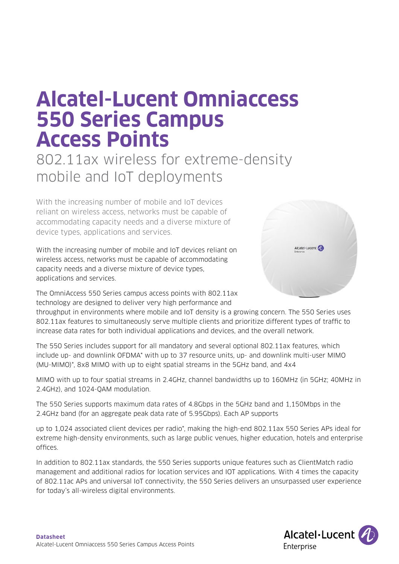# **Alcatel-Lucent Omniaccess 550 Series Campus Access Points**

802.11ax wireless for extreme-density mobile and IoT deployments

With the increasing number of mobile and IoT devices reliant on wireless access, networks must be capable of accommodating capacity needs and a diverse mixture of device types, applications and services.

With the increasing number of mobile and IoT devices reliant on wireless access, networks must be capable of accommodating capacity needs and a diverse mixture of device types, applications and services.

The OmniAccess 550 Series campus access points with 802.11ax technology are designed to deliver very high performance and



throughput in environments where mobile and IoT density is a growing concern. The 550 Series uses 802.11ax features to simultaneously serve multiple clients and prioritize different types of traffic to increase data rates for both individual applications and devices, and the overall network.

The 550 Series includes support for all mandatory and several optional 802.11ax features, which include up- and downlink OFDMA\* with up to 37 resource units, up- and downlink multi-user MIMO (MU-MIMO)\*, 8x8 MIMO with up to eight spatial streams in the 5GHz band, and 4x4

MIMO with up to four spatial streams in 2.4GHz, channel bandwidths up to 160MHz (in 5GHz; 40MHz in 2.4GHz), and 1024-QAM modulation.

The 550 Series supports maximum data rates of 4.8Gbps in the 5GHz band and 1,150Mbps in the 2.4GHz band (for an aggregate peak data rate of 5.95Gbps). Each AP supports

up to 1,024 associated client devices per radio\*, making the high-end 802.11ax 550 Series APs ideal for extreme high-density environments, such as large public venues, higher education, hotels and enterprise offices.

In addition to 802.11ax standards, the 550 Series supports unique features such as ClientMatch radio management and additional radios for location services and IOT applications. With 4 times the capacity of 802.11ac APs and universal IoT connectivity, the 550 Series delivers an unsurpassed user experience for today's all-wireless digital environments.

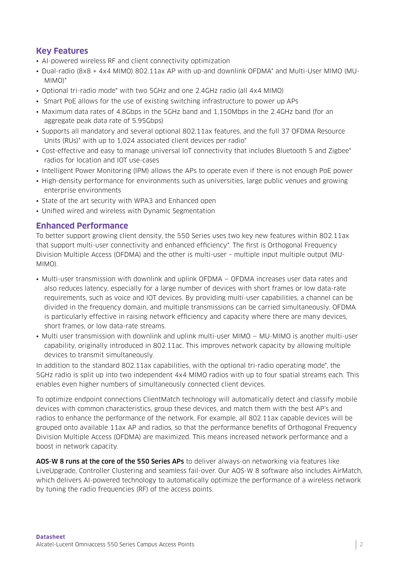# **Key Features**

- AI-powered wireless RF and client connectivity optimization
- Dual-radio (8x8 + 4x4 MIMO) 802.11ax AP with up-and downlink OFDMA\* and Multi-User MIMO (MU-MIMO)\*
- Optional tri-radio mode\* with two 5GHz and one 2.4GHz radio (all 4x4 MIMO)
- Smart PoE allows for the use of existing switching infrastructure to power up APs
- Maximum data rates of 4.8Gbps in the 5GHz band and 1,150Mbps in the 2.4GHz band (for an aggregate peak data rate of 5.95Gbps)
- Supports all mandatory and several optional 802.11ax features, and the full 37 OFDMA Resource Units (RUs)\* with up to 1,024 associated client devices per radio\*
- Cost-effective and easy to manage universal IoT connectivity that includes Bluetooth 5 and Zigbee\* radios for location and IOT use-cases
- Intelligent Power Monitoring (IPM) allows the APs to operate even if there is not enough PoE power
- High-density performance for environments such as universities, large public venues and growing enterprise environments
- State of the art security with WPA3 and Enhanced open
- Unified wired and wireless with Dynamic Segmentation

## **Enhanced Performance**

To better support growing client density, the 550 Series uses two key new features within 802.11ax that support multi-user connectivity and enhanced efficiency\*. The first is Orthogonal Frequency Division Multiple Access (OFDMA) and the other is multi-user – multiple input multiple output (MU-MIMO).

- Multi-user transmission with downlink and uplink OFDMA OFDMA increases user data rates and also reduces latency, especially for a large number of devices with short frames or low data-rate requirements, such as voice and IOT devices. By providing multi-user capabilities, a channel can be divided in the frequency domain, and multiple transmissions can be carried simultaneously. OFDMA is particularly effective in raising network efficiency and capacity where there are many devices, short frames, or low data-rate streams.
- Multi user transmission with downlink and uplink multi-user MIMO MU-MIMO is another multi-user capability, originally introduced in 802.11ac. This improves network capacity by allowing multiple devices to transmit simultaneously.

In addition to the standard 802.11ax capabilities, with the optional tri-radio operating mode\*, the 5GHz radio is split up into two independent 4x4 MIMO radios with up to four spatial streams each. This enables even higher numbers of simultaneously connected client devices.

To optimize endpoint connections ClientMatch technology will automatically detect and classify mobile devices with common characteristics, group these devices, and match them with the best AP's and radios to enhance the performance of the network. For example, all 802.11ax capable devices will be grouped onto available 11ax AP and radios, so that the performance benefits of Orthogonal Frequency Division Multiple Access (OFDMA) are maximized. This means increased network performance and a boost in network capacity.

AOS-W 8 runs at the core of the 550 Series APs to deliver always-on networking via features like LiveUpgrade, Controller Clustering and seamless fail-over. Our AOS-W 8 software also includes AirMatch, which delivers AI-powered technology to automatically optimize the performance of a wireless network by tuning the radio frequencies (RF) of the access points.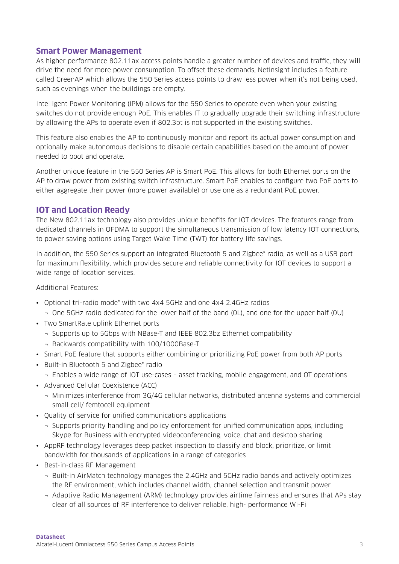#### **Smart Power Management**

As higher performance 802.11ax access points handle a greater number of devices and traffic, they will drive the need for more power consumption. To offset these demands, NetInsight includes a feature called GreenAP which allows the 550 Series access points to draw less power when it's not being used, such as evenings when the buildings are empty.

Intelligent Power Monitoring (IPM) allows for the 550 Series to operate even when your existing switches do not provide enough PoE. This enables IT to gradually upgrade their switching infrastructure by allowing the APs to operate even if 802.3bt is not supported in the existing switches.

This feature also enables the AP to continuously monitor and report its actual power consumption and optionally make autonomous decisions to disable certain capabilities based on the amount of power needed to boot and operate.

Another unique feature in the 550 Series AP is Smart PoE. This allows for both Ethernet ports on the AP to draw power from existing switch infrastructure. Smart PoE enables to configure two PoE ports to either aggregate their power (more power available) or use one as a redundant PoE power.

#### **IOT and Location Ready**

The New 802.11ax technology also provides unique benefits for IOT devices. The features range from dedicated channels in OFDMA to support the simultaneous transmission of low latency IOT connections, to power saving options using Target Wake Time (TWT) for battery life savings.

In addition, the 550 Series support an integrated Bluetooth 5 and Zigbee\* radio, as well as a USB port for maximum flexibility, which provides secure and reliable connectivity for IOT devices to support a wide range of location services.

#### Additional Features:

- Optional tri-radio mode\* with two 4x4 5GHz and one 4x4 2.4GHz radios
	- ¬ One 5GHz radio dedicated for the lower half of the band (0L), and one for the upper half (0U)
- Two SmartRate uplink Ethernet ports
	- ¬ Supports up to 5Gbps with NBase-T and IEEE 802.3bz Ethernet compatibility
	- ¬ Backwards compatibility with 100/1000Base-T
- Smart PoE feature that supports either combining or prioritizing PoE power from both AP ports
- Built-in Bluetooth 5 and Zigbee\* radio
- ¬ Enables a wide range of IOT use-cases asset tracking, mobile engagement, and OT operations
- Advanced Cellular Coexistence (ACC)
	- ¬ Minimizes interference from 3G/4G cellular networks, distributed antenna systems and commercial small cell/ femtocell equipment
- Quality of service for unified communications applications
	- ¬ Supports priority handling and policy enforcement for unified communication apps, including Skype for Business with encrypted videoconferencing, voice, chat and desktop sharing
- AppRF technology leverages deep packet inspection to classify and block, prioritize, or limit bandwidth for thousands of applications in a range of categories
- Best-in-class RF Management
	- ¬ Built-in AirMatch technology manages the 2.4GHz and 5GHz radio bands and actively optimizes the RF environment, which includes channel width, channel selection and transmit power
	- ¬ Adaptive Radio Management (ARM) technology provides airtime fairness and ensures that APs stay clear of all sources of RF interference to deliver reliable, high- performance Wi-Fi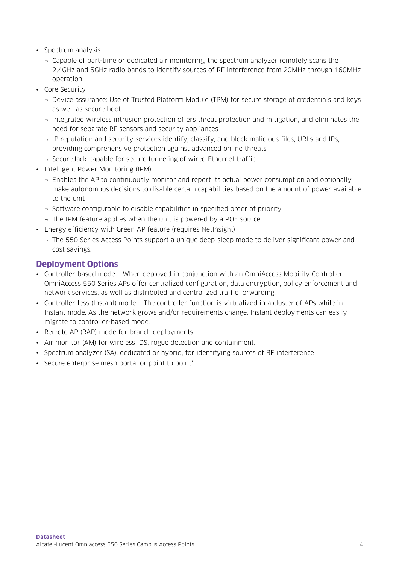- Spectrum analysis
	- ¬ Capable of part-time or dedicated air monitoring, the spectrum analyzer remotely scans the 2.4GHz and 5GHz radio bands to identify sources of RF interference from 20MHz through 160MHz operation
- Core Security
	- ¬ Device assurance: Use of Trusted Platform Module (TPM) for secure storage of credentials and keys as well as secure boot
	- ¬ Integrated wireless intrusion protection offers threat protection and mitigation, and eliminates the need for separate RF sensors and security appliances
	- ¬ IP reputation and security services identify, classify, and block malicious files, URLs and IPs, providing comprehensive protection against advanced online threats
	- ¬ SecureJack-capable for secure tunneling of wired Ethernet traffic
- Intelligent Power Monitoring (IPM)
	- ¬ Enables the AP to continuously monitor and report its actual power consumption and optionally make autonomous decisions to disable certain capabilities based on the amount of power available to the unit
	- ¬ Software configurable to disable capabilities in specified order of priority.
	- ¬ The IPM feature applies when the unit is powered by a POE source
- Energy efficiency with Green AP feature (requires NetInsight)
	- ¬ The 550 Series Access Points support a unique deep-sleep mode to deliver significant power and cost savings.

## **Deployment Options**

- Controller-based mode When deployed in conjunction with an OmniAccess Mobility Controller, OmniAccess 550 Series APs offer centralized configuration, data encryption, policy enforcement and network services, as well as distributed and centralized traffic forwarding.
- Controller-less (Instant) mode The controller function is virtualized in a cluster of APs while in Instant mode. As the network grows and/or requirements change, Instant deployments can easily migrate to controller-based mode.
- Remote AP (RAP) mode for branch deployments.
- Air monitor (AM) for wireless IDS, rogue detection and containment.
- Spectrum analyzer (SA), dedicated or hybrid, for identifying sources of RF interference
- Secure enterprise mesh portal or point to point\*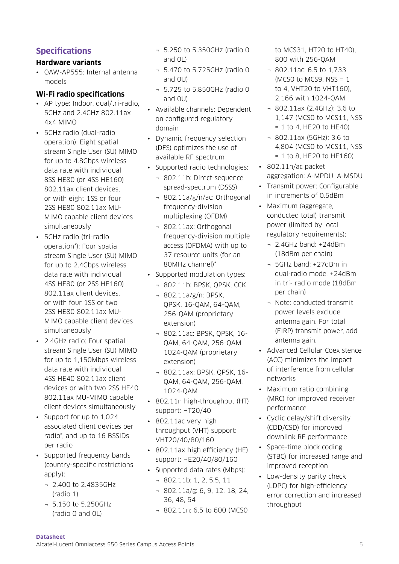# **Specifications**

### **Hardware variants**

• OAW-AP555: Internal antenna models

### **Wi-Fi radio specifications**

- AP type: Indoor, dual/tri-radio, 5GHz and 2.4GHz 802.11ax 4x4 MIMO
- 5GHz radio (dual-radio operation): Eight spatial stream Single User (SU) MIMO for up to 4.8Gbps wireless data rate with individual 8SS HE80 (or 4SS HE160) 802.11ax client devices, or with eight 1SS or four 2SS HE80 802.11ax MU-MIMO capable client devices simultaneously
- 5GHz radio (tri-radio operation\*): Four spatial stream Single User (SU) MIMO for up to 2.4Gbps wireless data rate with individual 4SS HE80 (or 2SS HE160) 802.11ax client devices, or with four 1SS or two 2SS HE80 802.11ax MU-MIMO capable client devices simultaneously
- 2.4GHz radio: Four spatial stream Single User (SU) MIMO for up to 1,150Mbps wireless data rate with individual 4SS HE40 802.11ax client devices or with two 2SS HE40 802.11ax MU-MIMO capable client devices simultaneously
- Support for up to 1,024 associated client devices per radio\*, and up to 16 BSSIDs per radio
- Supported frequency bands (country-specific restrictions apply):
	- ¬ 2.400 to 2.4835GHz (radio 1)
	- ¬ 5.150 to 5.250GHz (radio 0 and 0L)
- ¬ 5.250 to 5.350GHz (radio 0 and 0L)
- ¬ 5.470 to 5.725GHz (radio 0 and 0U)
- ¬ 5.725 to 5.850GHz (radio 0 and 0U)
- Available channels: Dependent on configured regulatory domain
- Dynamic frequency selection (DFS) optimizes the use of available RF spectrum
- Supported radio technologies:
	- ¬ 802.11b: Direct-sequence spread-spectrum (DSSS)
	- ¬ 802.11a/g/n/ac: Orthogonal frequency-division multiplexing (OFDM)
	- ¬ 802.11ax: Orthogonal frequency-division multiple access (OFDMA) with up to 37 resource units (for an 80MHz channel)\*
- Supported modulation types:
	- ¬ 802.11b: BPSK, QPSK, CCK
	- ¬ 802.11a/g/n: BPSK, QPSK, 16-QAM, 64-QAM, 256-QAM (proprietary extension)
	- ¬ 802.11ac: BPSK, QPSK, 16- QAM, 64-QAM, 256-QAM, 1024-QAM (proprietary extension)
	- ¬ 802.11ax: BPSK, QPSK, 16- QAM, 64-QAM, 256-QAM, 1024-QAM
- 802.11n high-throughput (HT) support: HT20/40
- 802.11ac very high throughput (VHT) support: VHT20/40/80/160
- 802.11ax high efficiency (HE) support: HE20/40/80/160
- Supported data rates (Mbps):
	- ¬ 802.11b: 1, 2, 5.5, 11
	- ¬ 802.11a/g: 6, 9, 12, 18, 24, 36, 48, 54
	- ¬ 802.11n: 6.5 to 600 (MCS0

to MCS31, HT20 to HT40), 800 with 256-QAM

- ¬ 802.11ac: 6.5 to 1,733 (MCSO to MCS9,  $NSS = 1$ ) to 4, VHT20 to VHT160), 2,166 with 1024-QAM
- ¬ 802.11ax (2.4GHz): 3.6 to 1,147 (MCS0 to MCS11, NSS  $= 1$  to 4, HE20 to HE40)
- ¬ 802.11ax (5GHz): 3.6 to 4,804 (MCS0 to MCS11, NSS  $= 1$  to 8, HE20 to HE160)
- 802.11n/ac packet aggregation: A-MPDU, A-MSDU
- Transmit power: Configurable in increments of 0.5dBm
- Maximum (aggregate, conducted total) transmit power (limited by local regulatory requirements):
	- ¬ 2.4GHz band: +24dBm (18dBm per chain)
	- ¬ 5GHz band: +27dBm in dual-radio mode, +24dBm in tri- radio mode (18dBm per chain)
	- ¬ Note: conducted transmit power levels exclude antenna gain. For total (EIRP) transmit power, add antenna gain.
- Advanced Cellular Coexistence (ACC) minimizes the impact of interference from cellular networks
- Maximum ratio combining (MRC) for improved receiver performance
- Cyclic delay/shift diversity (CDD/CSD) for improved downlink RF performance
- Space-time block coding (STBC) for increased range and improved reception
- Low-density parity check (LDPC) for high-efficiency error correction and increased throughput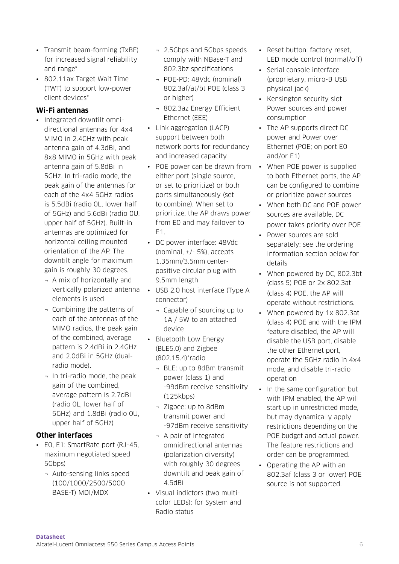- Transmit beam-forming (TxBF) for increased signal reliability and range\*
- 802.11ax Target Wait Time (TWT) to support low-power client devices\*

## **Wi-Fi antennas**

- Integrated downtilt omnidirectional antennas for 4x4 MIMO in 2.4GHz with peak antenna gain of 4.3dBi, and 8x8 MIMO in 5GHz with peak antenna gain of 5.8dBi in 5GHz. In tri-radio mode, the peak gain of the antennas for each of the 4x4 5GHz radios is 5.5dBi (radio 0L, lower half of 5GHz) and 5.6dBi (radio 0U, upper half of 5GHz). Built-in antennas are optimized for horizontal ceiling mounted orientation of the AP. The downtilt angle for maximum gain is roughly 30 degrees.
	- ¬ A mix of horizontally and elements is used
	- ¬ Combining the patterns of each of the antennas of the MIMO radios, the peak gain of the combined, average pattern is 2.4dBi in 2.4GHz and 2.0dBi in 5GHz (dualradio mode).
	- ¬ In tri-radio mode, the peak gain of the combined, average pattern is 2.7dBi (radio 0L, lower half of 5GHz) and 1.8dBi (radio 0U, upper half of 5GHz)

### **Other interfaces**

- E0, E1: SmartRate port (RJ-45, maximum negotiated speed 5Gbps)
	- ¬ Auto-sensing links speed (100/1000/2500/5000 BASE-T) MDI/MDX
- ¬ 2.5Gbps and 5Gbps speeds comply with NBase-T and 802.3bz specifications
- ¬ POE-PD: 48Vdc (nominal) 802.3af/at/bt POE (class 3 or higher)
- ¬ 802.3az Energy Efficient Ethernet (EEE)
- Link aggregation (LACP) support between both network ports for redundancy and increased capacity
- POE power can be drawn from When POE power is supplied either port (single source, or set to prioritize) or both ports simultaneously (set to combine). When set to prioritize, the AP draws power from E0 and may failover to  $F1$
- DC power interface: 48Vdc (nominal, +/- 5%), accepts 1.35mm/3.5mm centerpositive circular plug with 9.5mm length
- vertically polarized antenna USB 2.0 host interface (Type A connector)
	- ¬ Capable of sourcing up to 1A / 5W to an attached device
	- Bluetooth Low Energy (BLE5.0) and Zigbee (802.15.4)\*radio
		- ¬ BLE: up to 8dBm transmit power (class 1) and -99dBm receive sensitivity (125kbps)
		- ¬ Zigbee: up to 8dBm transmit power and -97dBm receive sensitivity
		- ¬ A pair of integrated omnidirectional antennas (polarization diversity) with roughly 30 degrees downtilt and peak gain of 4.5dBi
	- Visual indictors (two multicolor LEDs): for System and Radio status
- Reset button: factory reset, LED mode control (normal/off)
- Serial console interface (proprietary, micro-B USB physical jack)
- Kensington security slot Power sources and power consumption
- The AP supports direct DC power and Power over Ethernet (POE; on port E0 and/or E1)
- to both Ethernet ports, the AP can be configured to combine or prioritize power sources
- When both DC and POE power sources are available, DC power takes priority over POE
- Power sources are sold separately; see the ordering Information section below for details
- When powered by DC, 802.3bt (class 5) POE or 2x 802.3at (class 4) POE, the AP will operate without restrictions.
- When powered by 1x 802.3at (class 4) POE and with the IPM feature disabled, the AP will disable the USB port, disable the other Ethernet port, operate the 5GHz radio in 4x4 mode, and disable tri-radio operation
- In the same configuration but with IPM enabled, the AP will start up in unrestricted mode, but may dynamically apply restrictions depending on the POE budget and actual power. The feature restrictions and order can be programmed.
- Operating the AP with an 802.3af (class 3 or lower) POE source is not supported.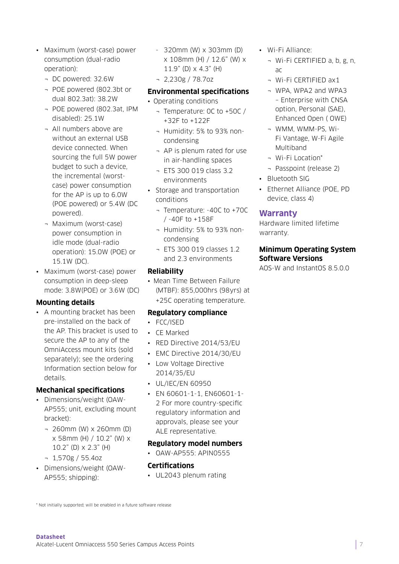- Maximum (worst-case) power consumption (dual-radio operation):
	- ¬ DC powered: 32.6W
	- ¬ POE powered (802.3bt or dual 802.3at): 38.2W
	- ¬ POE powered (802.3at, IPM disabled): 25.1W
	- ¬ All numbers above are without an external USB device connected. When sourcing the full 5W power budget to such a device, the incremental (worstcase) power consumption for the AP is up to 6.0W (POE powered) or 5.4W (DC powered).
	- ¬ Maximum (worst-case) power consumption in idle mode (dual-radio operation): 15.0W (POE) or 15.1W (DC).
- Maximum (worst-case) power consumption in deep-sleep mode: 3.8W(POE) or 3.6W (DC)

#### **Mounting details**

• A mounting bracket has been pre-installed on the back of the AP. This bracket is used to secure the AP to any of the OmniAccess mount kits (sold separately); see the ordering Information section below for details.

### **Mechanical specifications**

- Dimensions/weight (OAW-AP555; unit, excluding mount bracket):
	- ¬ 260mm (W) x 260mm (D) x 58mm (H) / 10.2" (W) x 10.2" (D) x 2.3" (H)
	- ¬ 1,570g / 55.4oz
- Dimensions/weight (OAW-AP555; shipping):
- 320mm (W) x 303mm (D) x 108mm (H) / 12.6" (W) x 11.9" (D) x 4.3" (H)
- ¬ 2,230g / 78.7oz
- **Environmental specifications**
- Operating conditions
	- ¬ Temperature: 0C to +50C / +32F to +122F
	- ¬ Humidity: 5% to 93% noncondensing
	- ¬ AP is plenum rated for use in air-handling spaces
	- ¬ ETS 300 019 class 3.2 environments
- Storage and transportation conditions
	- ¬ Temperature: -40C to +70C / -40F to +158F
	- ¬ Humidity: 5% to 93% noncondensing
	- ¬ ETS 300 019 classes 1.2 and 2.3 environments

#### **Reliability**

• Mean Time Between Failure (MTBF): 855,000hrs (98yrs) at +25C operating temperature.

#### **Regulatory compliance**

- FCC/ISED
- CE Marked
- RED Directive 2014/53/EU
- EMC Directive 2014/30/EU
- Low Voltage Directive 2014/35/EU
- UL/IEC/EN 60950
- EN 60601-1-1, EN60601-1- 2 For more country-specific regulatory information and approvals, please see your ALE representative.

#### **Regulatory model numbers**

• OAW-AP555: APIN0555

### **Certifications**

• UL2043 plenum rating

- Wi-Fi Alliance:
	- ¬ Wi-Fi CERTIFIED a, b, g, n, ac
	- ¬ Wi-Fi CERTIFIED ax1
	- ¬ WPA, WPA2 and WPA3 – Enterprise with CNSA option, Personal (SAE), Enhanced Open ( OWE)
	- ¬ WMM, WMM-PS, Wi-Fi Vantage, W-Fi Agile Multiband
	- ¬ Wi-Fi Location\*
	- ¬ Passpoint (release 2)
- Bluetooth SIG
- Ethernet Alliance (POE, PD device, class 4)

### **Warranty**

Hardware limited lifetime warranty.

#### **Minimum Operating System Software Versions**

AOS-W and InstantOS 8.5.0.0

\* Not initially supported; will be enabled in a future software release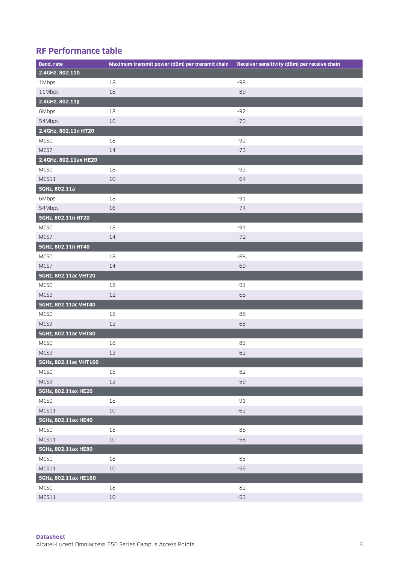# **RF Performance table**

| <b>Band, rate</b>     | Maximum transmit power (dBm) per transmit chain | Receiver sensitivity (dBm) per receive chain |
|-----------------------|-------------------------------------------------|----------------------------------------------|
| 2.4GHz, 802.11b       |                                                 |                                              |
| 1Mbps                 | 18                                              | -98                                          |
| 11Mbps                | 18                                              | $-89$                                        |
| 2.4GHz, 802.11g       |                                                 |                                              |
| 6Mbps                 | 18                                              | $-92$                                        |
| 54Mbps                | 16                                              | $-75$                                        |
| 2.4GHz, 802.11n HT20  |                                                 |                                              |
| MCSO                  | 18                                              | $-92$                                        |
| MCS7                  | 14                                              | $-73$                                        |
| 2.4GHz, 802.11ax HE20 |                                                 |                                              |
| MCS <sub>0</sub>      | 18                                              | $-92$                                        |
| MCS11                 | 10                                              | $-64$                                        |
| 5GHz, 802.11a         |                                                 |                                              |
| 6Mbps                 | 18                                              | $-91$                                        |
| 54Mbps                | 16                                              | $-74$                                        |
| 5GHz, 802.11n HT20    |                                                 |                                              |
| MCSO                  | 18                                              | $-91$                                        |
| MCS7                  | 14                                              | $-72$                                        |
| 5GHz, 802.11n HT40    |                                                 |                                              |
| MCS <sub>0</sub>      | 18                                              | $-88$                                        |
| MCS7                  | 14                                              | $-69$                                        |
| 5GHz, 802.11ac VHT20  |                                                 |                                              |
| MCS <sub>0</sub>      | 18                                              | $-91$                                        |
| MCS9                  | 12                                              | $-68$                                        |
| 5GHz, 802.11ac VHT40  |                                                 |                                              |
| MCSO                  | 18                                              | $-88$                                        |
| MCS9                  | 12                                              | $-65$                                        |
| 5GHz, 802.11ac VHT80  |                                                 |                                              |
| MCSO                  | 18                                              | $-85$                                        |
| MCS9                  | $12\,$                                          | $-62$                                        |
| 5GHz, 802.11ac VHT160 |                                                 |                                              |
| MCSO                  | 18                                              | $-82$                                        |
| MCS9                  | $12\,$                                          | $-59$                                        |
| 5GHz, 802.11ax HE20   |                                                 |                                              |
| <b>MCSO</b>           | 18                                              | $-91$                                        |
| MCS11                 | $10\,$                                          | $-62$                                        |
| 5GHz, 802.11ax HE40   |                                                 |                                              |
| MCSO                  | 18                                              | $-88$                                        |
| MCS11                 | $10\,$                                          | $-58$                                        |
| 5GHz, 802.11ax HE80   |                                                 |                                              |
| <b>MCSO</b>           | $18\,$                                          | $-85$                                        |
| MCS11                 | $10\,$                                          | $-56$                                        |
| 5GHz, 802.11ax HE160  |                                                 |                                              |
| MCSO                  | 18                                              | $-82$                                        |
| MCS11                 | $10\,$                                          | $-53$                                        |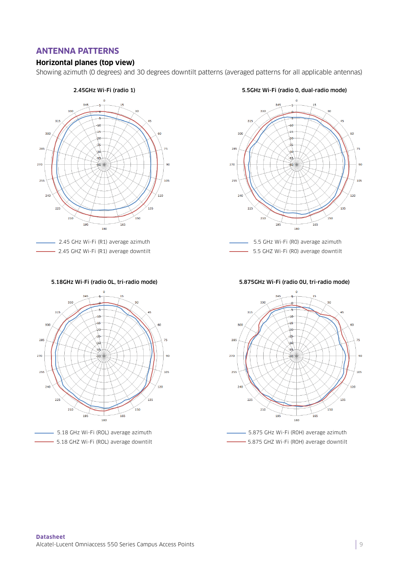## **ANTENNA PATTERNS**

#### **Horizontal planes (top view)**

Showing azimuth (0 degrees) and 30 degrees downtilt patterns (averaged patterns for all applicable antennas)







5.5GHz Wi-Fi (radio 0, dual-radio mode)



- 5.5 GHZ Wi-Fi (RO) average downtilt

5.875GHz Wi-Fi (radio 0U, tri-radio mode)



5.875 GHz Wi-Fi (R0H) average azimuth 5.875 GHZ Wi-Fi (R0H) average downtilt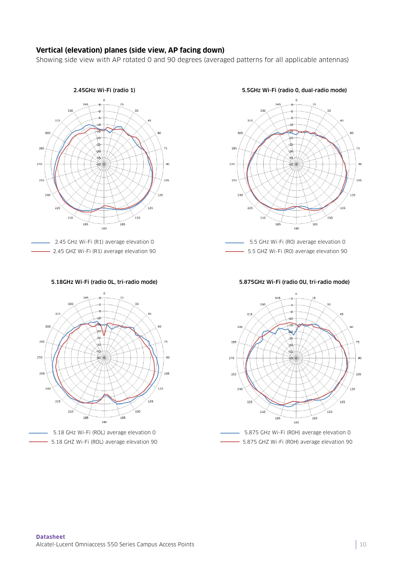#### **Vertical (elevation) planes (side view, AP facing down)**

Showing side view with AP rotated 0 and 90 degrees (averaged patterns for all applicable antennas)



- 2.45 GHz Wi-Fi (R1) average elevation 0 2.45 GHZ Wi-Fi (R1) average elevation 90

5.18GHz Wi-Fi (radio 0L, tri-radio mode)



5.5GHz Wi-Fi (radio 0, dual-radio mode)



5.875GHz Wi-Fi (radio 0U, tri-radio mode)